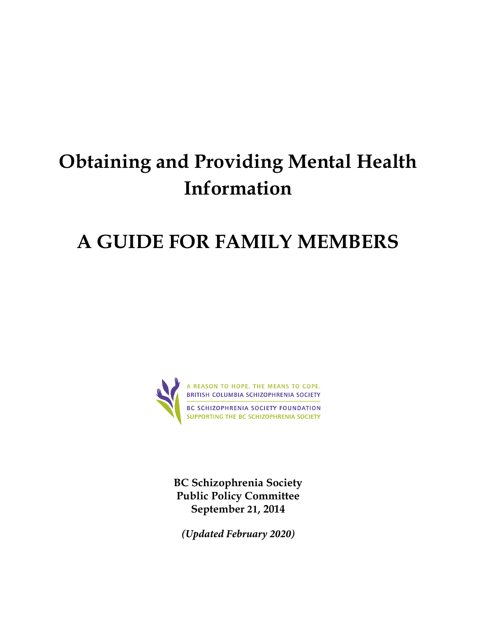# **Obtaining and Providing Mental Health Information**

## **A GUIDE FOR FAMILY MEMBERS**



**BC Schizophrenia Society Public Policy Committee September 21, 2014** 

*(Updated February 2020)*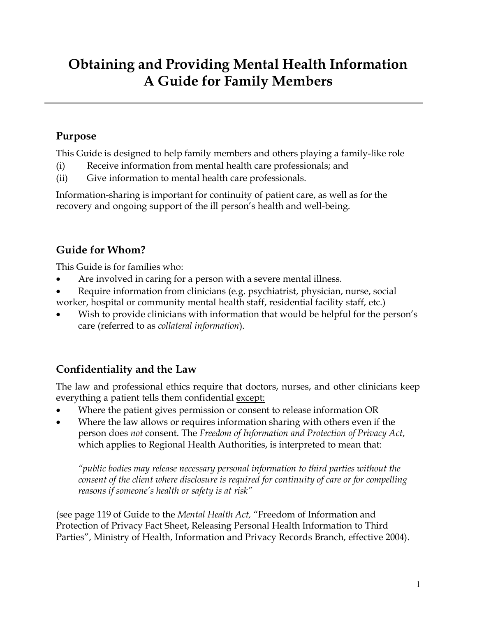## **Obtaining and Providing Mental Health Information A Guide for Family Members**

#### **Purpose**

This Guide is designed to help family members and others playing a family-like role

- (i) Receive information from mental health care professionals; and
- (ii) Give information to mental health care professionals.

Information-sharing is important for continuity of patient care, as well as for the recovery and ongoing support of the ill person's health and well-being.

#### **Guide for Whom?**

This Guide is for families who:

- Are involved in caring for a person with a severe mental illness.
- Require information from clinicians (e.g. psychiatrist, physician, nurse, social worker, hospital or community mental health staff, residential facility staff, etc.)
- Wish to provide clinicians with information that would be helpful for the person's care (referred to as *collateral information*).

#### **Confidentiality and the Law**

The law and professional ethics require that doctors, nurses, and other clinicians keep everything a patient tells them confidential except:

- Where the patient gives permission or consent to release information OR
- Where the law allows or requires information sharing with others even if the person does *not* consent. The *Freedom of Information and Protection of Privacy Act*, which applies to Regional Health Authorities, is interpreted to mean that:

*"public bodies may release necessary personal information to third parties without the consent of the client where disclosure is required for continuity of care or for compelling reasons if someone's health or safety is at risk"*

(see page 119 of Guide to the *Mental Health Act,* "Freedom of Information and Protection of Privacy Fact Sheet, Releasing Personal Health Information to Third Parties", Ministry of Health, Information and Privacy Records Branch, effective 2004).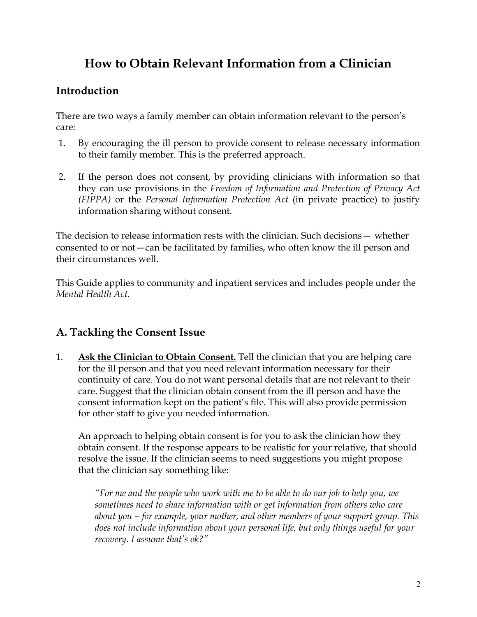### **How to Obtain Relevant Information from a Clinician**

#### **Introduction**

There are two ways a family member can obtain information relevant to the person's care:

- 1. By encouraging the ill person to provide consent to release necessary information to their family member. This is the preferred approach.
- 2. If the person does not consent, by providing clinicians with information so that they can use provisions in the *Freedom of Information and Protection of Privacy Act (FIPPA)* or the *Personal Information Protection Act* (in private practice) to justify information sharing without consent.

The decision to release information rests with the clinician. Such decisions— whether consented to or not—can be facilitated by families, who often know the ill person and their circumstances well.

This Guide applies to community and inpatient services and includes people under the *Mental Health Act.*

#### **A. Tackling the Consent Issue**

1. **Ask the Clinician to Obtain Consent.** Tell the clinician that you are helping care for the ill person and that you need relevant information necessary for their continuity of care. You do not want personal details that are not relevant to their care. Suggest that the clinician obtain consent from the ill person and have the consent information kept on the patient's file. This will also provide permission for other staff to give you needed information.

An approach to helping obtain consent is for you to ask the clinician how they obtain consent. If the response appears to be realistic for your relative, that should resolve the issue. If the clinician seems to need suggestions you might propose that the clinician say something like:

*"For me and the people who work with me to be able to do our job to help you, we sometimes need to share information with or get information from others who care about you – for example, your mother, and other members of your support group. This does not include information about your personal life, but only things useful for your recovery. I assume that's ok?"*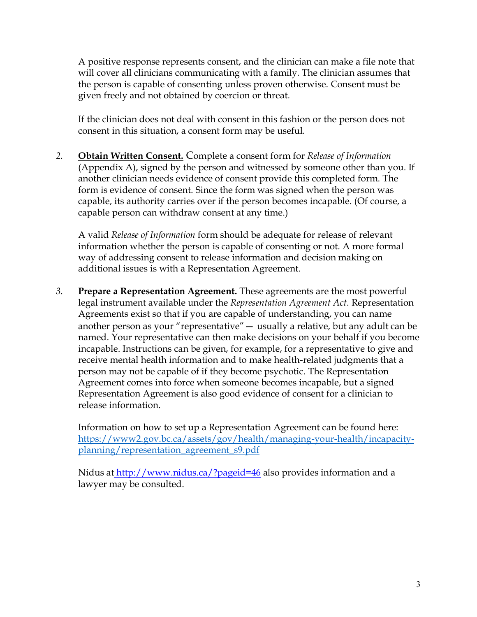A positive response represents consent, and the clinician can make a file note that will cover all clinicians communicating with a family. The clinician assumes that the person is capable of consenting unless proven otherwise. Consent must be given freely and not obtained by coercion or threat.

If the clinician does not deal with consent in this fashion or the person does not consent in this situation, a consent form may be useful.

*2.* **Obtain Written Consent.** Complete a consent form for *Release of Information*  (Appendix A), signed by the person and witnessed by someone other than you. If another clinician needs evidence of consent provide this completed form. The form is evidence of consent. Since the form was signed when the person was capable, its authority carries over if the person becomes incapable. (Of course, a capable person can withdraw consent at any time.)

A valid *Release of Information* form should be adequate for release of relevant information whether the person is capable of consenting or not. A more formal way of addressing consent to release information and decision making on additional issues is with a Representation Agreement.

*3.* **Prepare a Representation Agreement.** These agreements are the most powerful legal instrument available under the *Representation Agreement Act*. Representation Agreements exist so that if you are capable of understanding, you can name another person as your "representative"— usually a relative, but any adult can be named. Your representative can then make decisions on your behalf if you become incapable. Instructions can be given, for example, for a representative to give and receive mental health information and to make health-related judgments that a person may not be capable of if they become psychotic. The Representation Agreement comes into force when someone becomes incapable, but a signed Representation Agreement is also good evidence of consent for a clinician to release information.

Information on how to set up a Representation Agreement can be found here: https://www2.gov.bc.ca/assets/gov/health/managing-your-health/incapacityplanning/representation\_agreement\_s9.pdf

Nidus at http://www.nidus.ca/?pageid=46 also provides information and a lawyer may be consulted.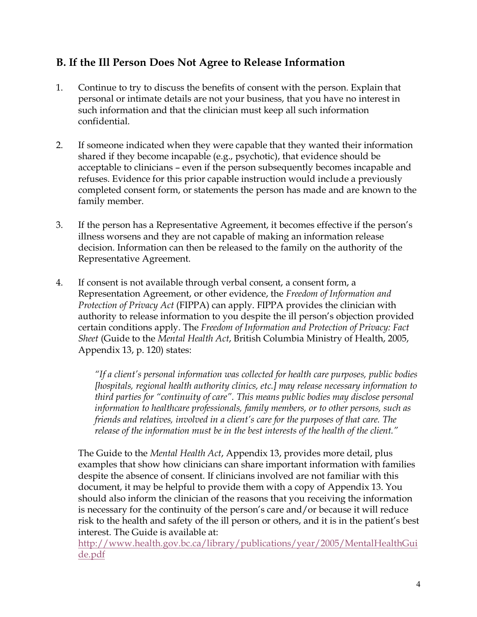#### **B. If the Ill Person Does Not Agree to Release Information**

- 1. Continue to try to discuss the benefits of consent with the person. Explain that personal or intimate details are not your business, that you have no interest in such information and that the clinician must keep all such information confidential.
- 2. If someone indicated when they were capable that they wanted their information shared if they become incapable (e.g., psychotic), that evidence should be acceptable to clinicians – even if the person subsequently becomes incapable and refuses. Evidence for this prior capable instruction would include a previously completed consent form, or statements the person has made and are known to the family member.
- 3. If the person has a Representative Agreement, it becomes effective if the person's illness worsens and they are not capable of making an information release decision. Information can then be released to the family on the authority of the Representative Agreement.
- 4. If consent is not available through verbal consent, a consent form, a Representation Agreement, or other evidence, the *Freedom of Information and Protection of Privacy Act* (FIPPA) can apply. FIPPA provides the clinician with authority to release information to you despite the ill person's objection provided certain conditions apply. The *Freedom of Information and Protection of Privacy: Fact Sheet* (Guide to the *Mental Health Act*, British Columbia Ministry of Health, 2005, Appendix 13, p. 120) states:

*"If a client's personal information was collected for health care purposes, public bodies [hospitals, regional health authority clinics, etc.] may release necessary information to third parties for "continuity of care". This means public bodies may disclose personal information to healthcare professionals, family members, or to other persons, such as friends and relatives, involved in a client's care for the purposes of that care. The release of the information must be in the best interests of the health of the client."*

The Guide to the *Mental Health Act*, Appendix 13, provides more detail, plus examples that show how clinicians can share important information with families despite the absence of consent. If clinicians involved are not familiar with this document, it may be helpful to provide them with a copy of Appendix 13. You should also inform the clinician of the reasons that you receiving the information is necessary for the continuity of the person's care and/or because it will reduce risk to the health and safety of the ill person or others, and it is in the patient's best interest. The Guide is available at:

http://www.health.gov.bc.ca/library/publications/year/2005/MentalHealthGui de.pdf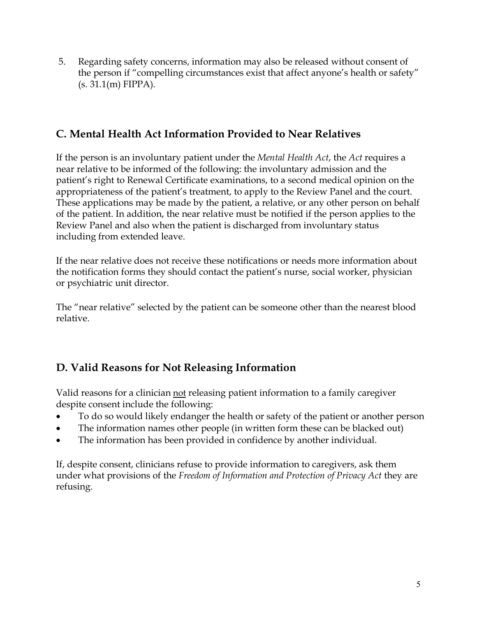5. Regarding safety concerns, information may also be released without consent of the person if "compelling circumstances exist that affect anyone's health or safety" (s. 31.1(m) FIPPA).

#### **C. Mental Health Act Information Provided to Near Relatives**

If the person is an involuntary patient under the *Mental Health Act*, the *Act* requires a near relative to be informed of the following: the involuntary admission and the patient's right to Renewal Certificate examinations, to a second medical opinion on the appropriateness of the patient's treatment, to apply to the Review Panel and the court. These applications may be made by the patient, a relative, or any other person on behalf of the patient. In addition, the near relative must be notified if the person applies to the Review Panel and also when the patient is discharged from involuntary status including from extended leave.

If the near relative does not receive these notifications or needs more information about the notification forms they should contact the patient's nurse, social worker, physician or psychiatric unit director.

The "near relative" selected by the patient can be someone other than the nearest blood relative.

#### **D. Valid Reasons for Not Releasing Information**

Valid reasons for a clinician not releasing patient information to a family caregiver despite consent include the following:

- To do so would likely endanger the health or safety of the patient or another person
- The information names other people (in written form these can be blacked out)
- The information has been provided in confidence by another individual.

If, despite consent, clinicians refuse to provide information to caregivers, ask them under what provisions of the *Freedom of Information and Protection of Privacy Act* they are refusing.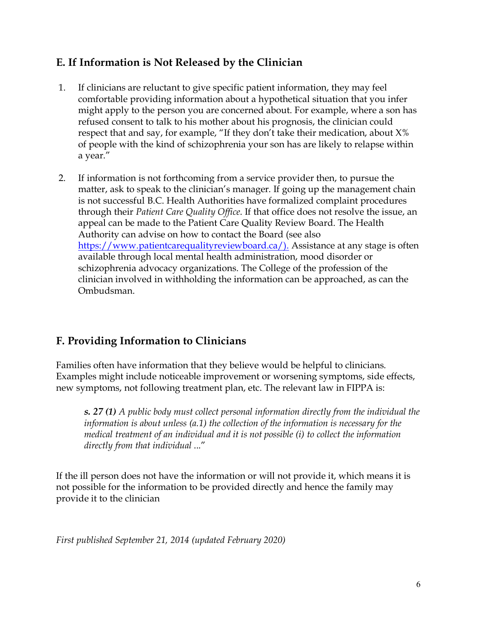#### **E. If Information is Not Released by the Clinician**

- 1. If clinicians are reluctant to give specific patient information, they may feel comfortable providing information about a hypothetical situation that you infer might apply to the person you are concerned about. For example, where a son has refused consent to talk to his mother about his prognosis, the clinician could respect that and say, for example, "If they don't take their medication, about  $X\%$ of people with the kind of schizophrenia your son has are likely to relapse within a year."
- 2. If information is not forthcoming from a service provider then, to pursue the matter, ask to speak to the clinician's manager. If going up the management chain is not successful B.C. Health Authorities have formalized complaint procedures through their *Patient Care Quality Office*. If that office does not resolve the issue, an appeal can be made to the Patient Care Quality Review Board. The Health Authority can advise on how to contact the Board (see also https://www.patientcarequalityreviewboard.ca/). Assistance at any stage is often available through local mental health administration, mood disorder or schizophrenia advocacy organizations. The College of the profession of the clinician involved in withholding the information can be approached, as can the Ombudsman.

#### **F. Providing Information to Clinicians**

Families often have information that they believe would be helpful to clinicians. Examples might include noticeable improvement or worsening symptoms, side effects, new symptoms, not following treatment plan, etc. The relevant law in FIPPA is:

*s. 27 (1) A public body must collect personal information directly from the individual the information is about unless (a.1) the collection of the information is necessary for the medical treatment of an individual and it is not possible (i) to collect the information directly from that individual* ..."

If the ill person does not have the information or will not provide it, which means it is not possible for the information to be provided directly and hence the family may provide it to the clinician

*First published September 21, 2014 (updated February 2020)*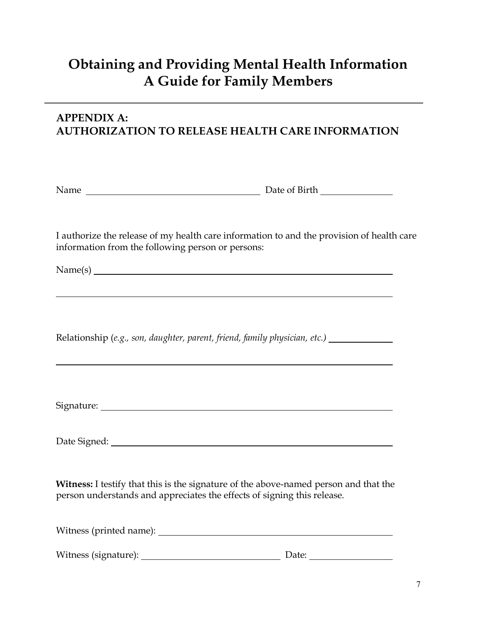## **Obtaining and Providing Mental Health Information A Guide for Family Members**

#### **APPENDIX A: AUTHORIZATION TO RELEASE HEALTH CARE INFORMATION**

| Name | Date of Birth |
|------|---------------|
|      |               |

I authorize the release of my health care information to and the provision of health care information from the following person or persons:

Name(s)

Relationship (*e.g., son, daughter, parent, friend, family physician, etc.)*

Signature:

Date Signed: The Signed: The Signed School and School and School and School and School and School and School and School and School and School and School and School and School and School and School and School and School and

**Witness:** I testify that this is the signature of the above-named person and that the person understands and appreciates the effects of signing this release.

Witness (printed name):

Witness (signature): Date: Date: